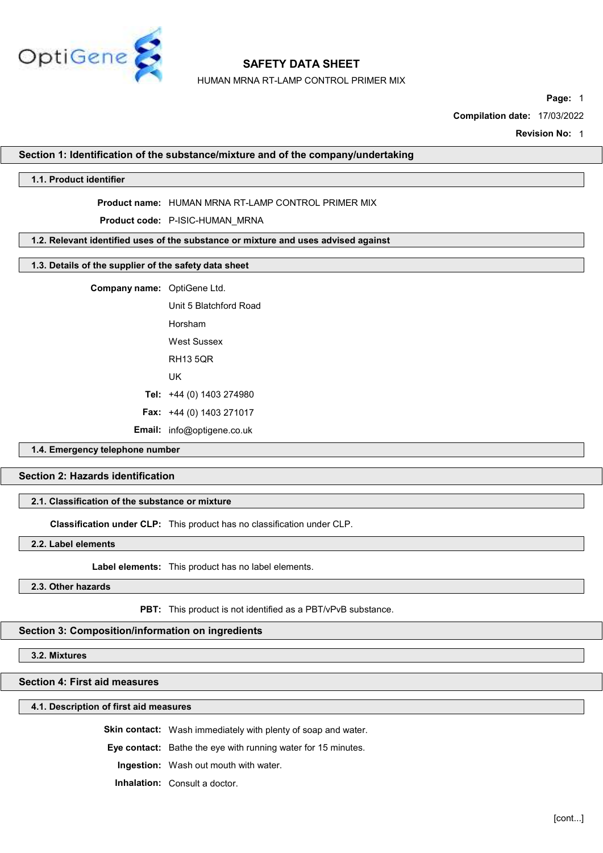

HUMAN MRNA RT-LAMP CONTROL PRIMER MIX

Page: 1

Compilation date: 17/03/2022

Revision No: 1

#### Section 1: Identification of the substance/mixture and of the company/undertaking

## 1.1. Product identifier

#### Product name: HUMAN MRNA RT-LAMP CONTROL PRIMER MIX

Product code: P-ISIC-HUMAN\_MRNA

#### 1.2. Relevant identified uses of the substance or mixture and uses advised against

## 1.3. Details of the supplier of the safety data sheet

Company name: OptiGene Ltd.

Unit 5 Blatchford Road Horsham West Sussex RH13 5QR UK Tel: +44 (0) 1403 274980 Fax: +44 (0) 1403 271017 Email: info@optigene.co.uk

# 1.4. Emergency telephone number

## Section 2: Hazards identification

## 2.1. Classification of the substance or mixture

Classification under CLP: This product has no classification under CLP.

2.2. Label elements

Label elements: This product has no label elements.

## 2.3. Other hazards

PBT: This product is not identified as a PBT/vPvB substance.

#### Section 3: Composition/information on ingredients

3.2. Mixtures

## Section 4: First aid measures

#### 4.1. Description of first aid measures

Skin contact: Wash immediately with plenty of soap and water.

Eye contact: Bathe the eye with running water for 15 minutes.

Ingestion: Wash out mouth with water.

Inhalation: Consult a doctor.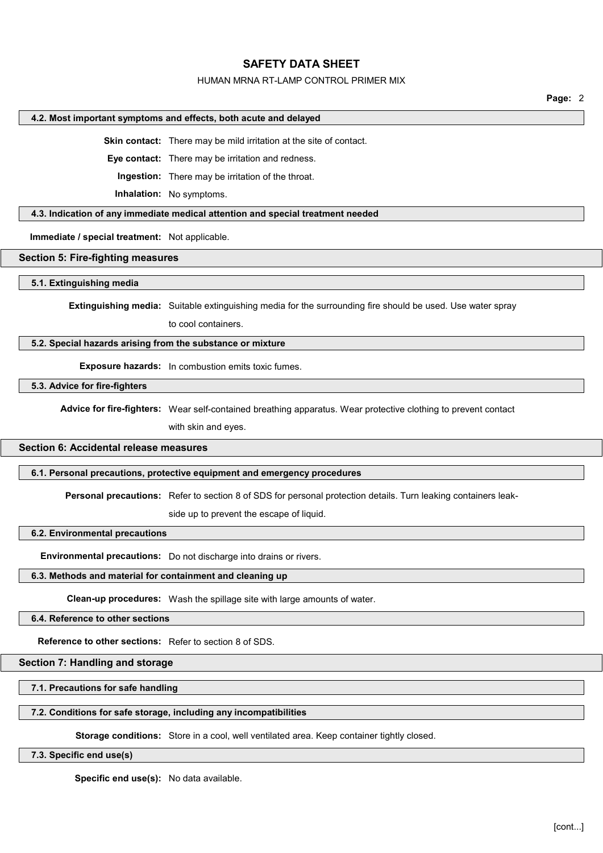## HUMAN MRNA RT-LAMP CONTROL PRIMER MIX

Page: 2

#### 4.2. Most important symptoms and effects, both acute and delayed

Skin contact: There may be mild irritation at the site of contact.

Eye contact: There may be irritation and redness.

Ingestion: There may be irritation of the throat.

Inhalation: No symptoms.

## 4.3. Indication of any immediate medical attention and special treatment needed

Immediate / special treatment: Not applicable.

#### Section 5: Fire-fighting measures

#### 5.1. Extinguishing media

Extinguishing media: Suitable extinguishing media for the surrounding fire should be used. Use water spray

to cool containers.

#### 5.2. Special hazards arising from the substance or mixture

Exposure hazards: In combustion emits toxic fumes.

5.3. Advice for fire-fighters

Advice for fire-fighters: Wear self-contained breathing apparatus. Wear protective clothing to prevent contact

with skin and eyes.

# Section 6: Accidental release measures

#### 6.1. Personal precautions, protective equipment and emergency procedures

Personal precautions: Refer to section 8 of SDS for personal protection details. Turn leaking containers leak-

side up to prevent the escape of liquid.

# 6.2. Environmental precautions

Environmental precautions: Do not discharge into drains or rivers.

#### 6.3. Methods and material for containment and cleaning up

Clean-up procedures: Wash the spillage site with large amounts of water.

#### 6.4. Reference to other sections

Reference to other sections: Refer to section 8 of SDS.

# Section 7: Handling and storage

7.1. Precautions for safe handling

#### 7.2. Conditions for safe storage, including any incompatibilities

Storage conditions: Store in a cool, well ventilated area. Keep container tightly closed.

#### 7.3. Specific end use(s)

Specific end use(s): No data available.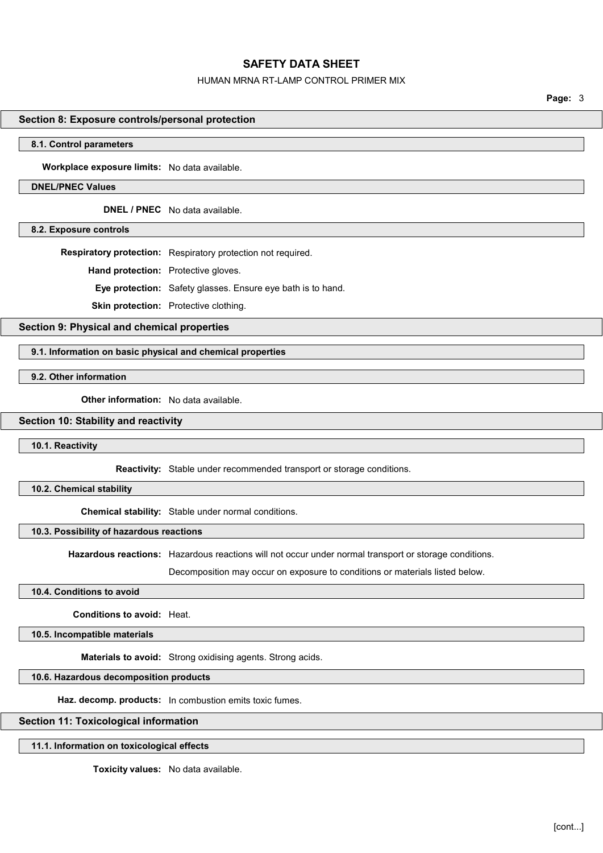## HUMAN MRNA RT-LAMP CONTROL PRIMER MIX

Page: 3

## Section 8: Exposure controls/personal protection

#### 8.1. Control parameters

Workplace exposure limits: No data available.

## DNEL/PNEC Values

DNEL / PNEC No data available.

8.2. Exposure controls

Respiratory protection: Respiratory protection not required.

Hand protection: Protective gloves.

Eye protection: Safety glasses. Ensure eye bath is to hand.

Skin protection: Protective clothing.

Section 9: Physical and chemical properties

## 9.1. Information on basic physical and chemical properties

9.2. Other information

Other information: No data available.

#### Section 10: Stability and reactivity

10.1. Reactivity

Reactivity: Stable under recommended transport or storage conditions.

10.2. Chemical stability

Chemical stability: Stable under normal conditions.

#### 10.3. Possibility of hazardous reactions

Hazardous reactions: Hazardous reactions will not occur under normal transport or storage conditions.

Decomposition may occur on exposure to conditions or materials listed below.

#### 10.4. Conditions to avoid

Conditions to avoid: Heat.

10.5. Incompatible materials

Materials to avoid: Strong oxidising agents. Strong acids.

## 10.6. Hazardous decomposition products

Haz. decomp. products: In combustion emits toxic fumes.

## Section 11: Toxicological information

## 11.1. Information on toxicological effects

Toxicity values: No data available.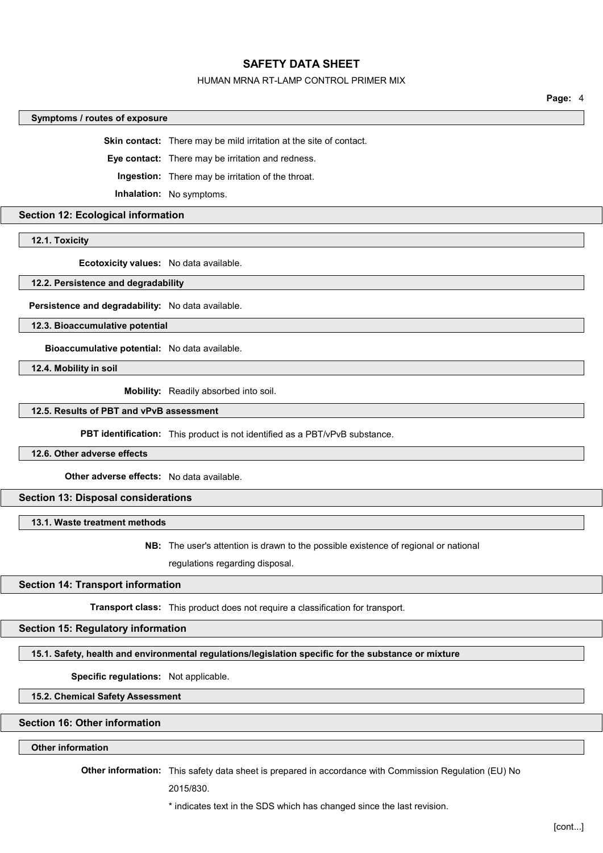#### HUMAN MRNA RT-LAMP CONTROL PRIMER MIX

Page: 4

#### Symptoms / routes of exposure

Skin contact: There may be mild irritation at the site of contact.

Eye contact: There may be irritation and redness.

Ingestion: There may be irritation of the throat.

Inhalation: No symptoms.

# Section 12: Ecological information

12.1. Toxicity

Ecotoxicity values: No data available.

#### 12.2. Persistence and degradability

Persistence and degradability: No data available.

12.3. Bioaccumulative potential

Bioaccumulative potential: No data available.

12.4. Mobility in soil

Mobility: Readily absorbed into soil.

## 12.5. Results of PBT and vPvB assessment

PBT identification: This product is not identified as a PBT/vPvB substance.

#### 12.6. Other adverse effects

Other adverse effects: No data available.

## Section 13: Disposal considerations

13.1. Waste treatment methods

# NB: The user's attention is drawn to the possible existence of regional or national

regulations regarding disposal.

# Section 14: Transport information

Transport class: This product does not require a classification for transport.

## Section 15: Regulatory information

#### 15.1. Safety, health and environmental regulations/legislation specific for the substance or mixture

Specific regulations: Not applicable.

#### 15.2. Chemical Safety Assessment

#### Section 16: Other information

## Other information

Other information: This safety data sheet is prepared in accordance with Commission Regulation (EU) No

2015/830.

\* indicates text in the SDS which has changed since the last revision.